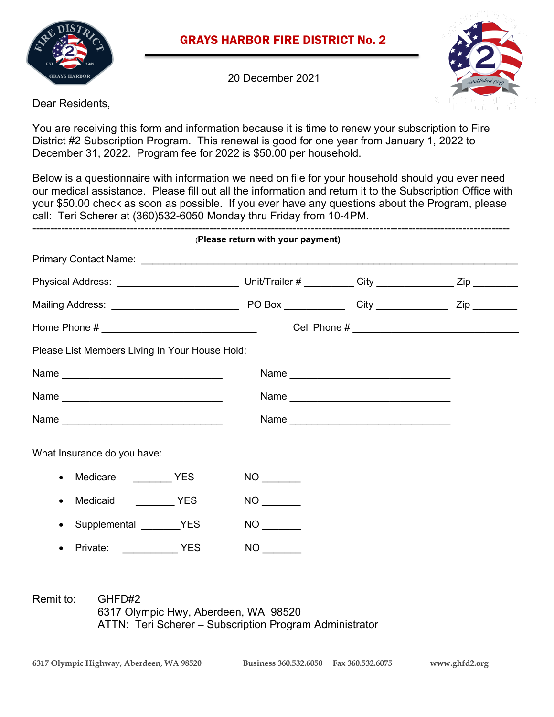

# GRAYS HARBOR FIRE DISTRICT No. 2

20 December 2021



Dear Residents,

You are receiving this form and information because it is time to renew your subscription to Fire District #2 Subscription Program. This renewal is good for one year from January 1, 2022 to December 31, 2022. Program fee for 2022 is \$50.00 per household.

Below is a questionnaire with information we need on file for your household should you ever need our medical assistance. Please fill out all the information and return it to the Subscription Office with your \$50.00 check as soon as possible. If you ever have any questions about the Program, please call: Teri Scherer at (360)532-6050 Monday thru Friday from 10-4PM.

|                                                | (Please return with your payment) |      |  |
|------------------------------------------------|-----------------------------------|------|--|
|                                                |                                   |      |  |
|                                                |                                   |      |  |
|                                                |                                   |      |  |
|                                                |                                   |      |  |
| Please List Members Living In Your House Hold: |                                   |      |  |
| Name                                           |                                   | Name |  |
| Name                                           |                                   |      |  |
|                                                |                                   |      |  |
| What Insurance do you have:                    |                                   |      |  |
| Medicare YES<br>$\bullet$                      |                                   |      |  |
| $\bullet$                                      | NO <sub>cco</sub>                 |      |  |
| Supplemental ________YES<br>$\bullet$          |                                   |      |  |
| Private: YES<br>$\bullet$                      | <b>NO</b>                         |      |  |

Remit to: GHFD#2 6317 Olympic Hwy, Aberdeen, WA 98520 ATTN: Teri Scherer – Subscription Program Administrator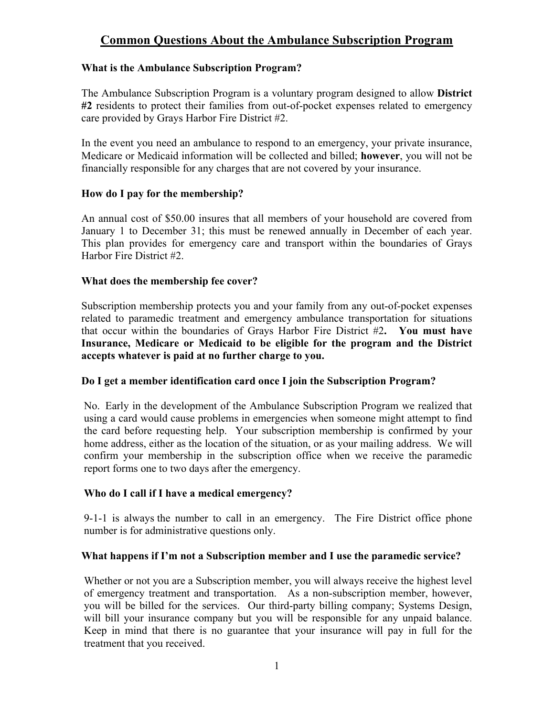# **Common Questions About the Ambulance Subscription Program**

# **What is the Ambulance Subscription Program?**

The Ambulance Subscription Program is a voluntary program designed to allow **District #2** residents to protect their families from out-of-pocket expenses related to emergency care provided by Grays Harbor Fire District #2.

In the event you need an ambulance to respond to an emergency, your private insurance, Medicare or Medicaid information will be collected and billed; **however**, you will not be financially responsible for any charges that are not covered by your insurance.

# **How do I pay for the membership?**

An annual cost of \$50.00 insures that all members of your household are covered from January 1 to December 31; this must be renewed annually in December of each year. This plan provides for emergency care and transport within the boundaries of Grays Harbor Fire District #2.

# **What does the membership fee cover?**

Subscription membership protects you and your family from any out-of-pocket expenses related to paramedic treatment and emergency ambulance transportation for situations that occur within the boundaries of Grays Harbor Fire District #2**. You must have Insurance, Medicare or Medicaid to be eligible for the program and the District accepts whatever is paid at no further charge to you.**

# **Do I get a member identification card once I join the Subscription Program?**

No. Early in the development of the Ambulance Subscription Program we realized that using a card would cause problems in emergencies when someone might attempt to find the card before requesting help. Your subscription membership is confirmed by your home address, either as the location of the situation, or as your mailing address. We will confirm your membership in the subscription office when we receive the paramedic report forms one to two days after the emergency.

#### **Who do I call if I have a medical emergency?**

9-1-1 is always the number to call in an emergency. The Fire District office phone number is for administrative questions only.

#### **What happens if I'm not a Subscription member and I use the paramedic service?**

Whether or not you are a Subscription member, you will always receive the highest level of emergency treatment and transportation. As a non-subscription member, however, you will be billed for the services. Our third-party billing company; Systems Design, will bill your insurance company but you will be responsible for any unpaid balance. Keep in mind that there is no guarantee that your insurance will pay in full for the treatment that you received.